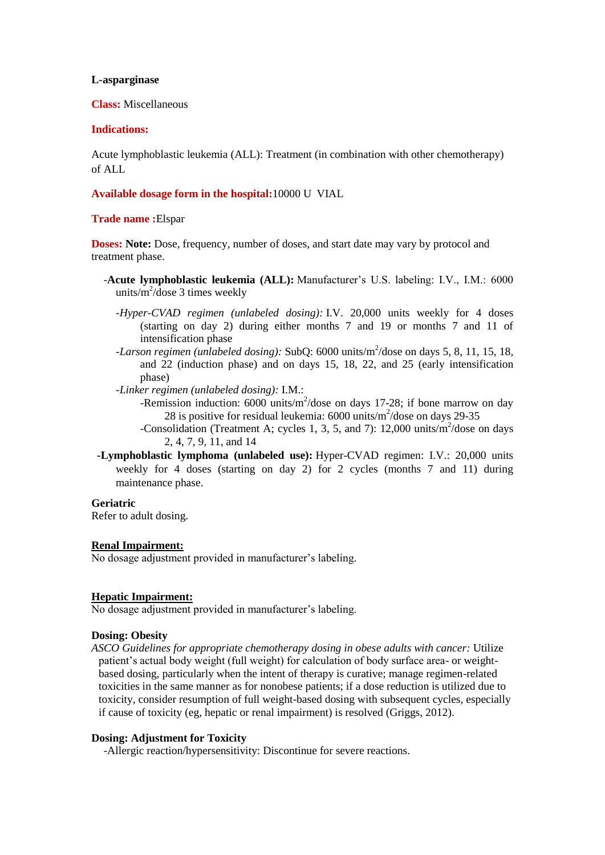## **L-asparginase**

**Class:** Miscellaneous

## **Indications:**

Acute lymphoblastic leukemia (ALL): Treatment (in combination with other chemotherapy) of ALL

## **Available dosage form in the hospital:**10000 U VIAL

## **Trade name :**Elspar

**Doses: Note:** Dose, frequency, number of doses, and start date may vary by protocol and treatment phase.

- -**Acute lymphoblastic leukemia (ALL):** Manufacturer's U.S. labeling: I.V., I.M.: 6000 units/ $m^2$ /dose 3 times weekly
	- *-Hyper-CVAD regimen (unlabeled dosing):* I.V. 20,000 units weekly for 4 doses (starting on day 2) during either months 7 and 19 or months 7 and 11 of intensification phase
	- *-Larson regimen (unlabeled dosing)*: SubQ: 6000 units/m<sup>2</sup>/dose on days 5, 8, 11, 15, 18, and 22 (induction phase) and on days 15, 18, 22, and 25 (early intensification phase)

*-Linker regimen (unlabeled dosing):* I.M.:

- -Remission induction:  $6000$  units/m<sup>2</sup>/dose on days 17-28; if bone marrow on day 28 is positive for residual leukemia:  $6000$  units/m<sup>2</sup>/dose on days 29-35
- -Consolidation (Treatment A; cycles 1, 3, 5, and 7):  $12,000$  units/m<sup>2</sup>/dose on days 2, 4, 7, 9, 11, and 14
- **-Lymphoblastic lymphoma (unlabeled use):** Hyper-CVAD regimen: I.V.: 20,000 units weekly for 4 doses (starting on day 2) for 2 cycles (months 7 and 11) during maintenance phase.

**Geriatric** Refer to adult dosing.

## **Renal Impairment:**

No dosage adjustment provided in manufacturer's labeling.

#### **Hepatic Impairment:**

No dosage adjustment provided in manufacturer's labeling.

#### **Dosing: Obesity**

*ASCO Guidelines for appropriate chemotherapy dosing in obese adults with cancer:* Utilize patient's actual body weight (full weight) for calculation of body surface area- or weightbased dosing, particularly when the intent of therapy is curative; manage regimen-related toxicities in the same manner as for nonobese patients; if a dose reduction is utilized due to toxicity, consider resumption of full weight-based dosing with subsequent cycles, especially if cause of toxicity (eg, hepatic or renal impairment) is resolved (Griggs, 2012).

# **Dosing: Adjustment for Toxicity**

-Allergic reaction/hypersensitivity: Discontinue for severe reactions.